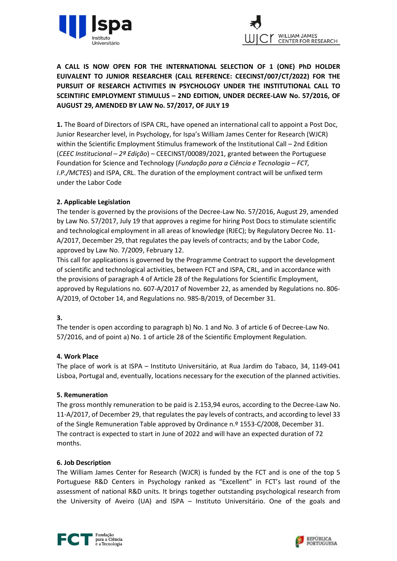



A CALL IS NOW OPEN FOR THE INTERNATIONAL SELECTION OF 1 (ONE) PhD HOLDER EUIVALENT TO JUNIOR RESEARCHER (CALL REFERENCE: CEECINST/007/CT/2022) FOR THE PURSUIT OF RESEARCH ACTIVITIES IN PSYCHOLOGY UNDER THE INSTITUTIONAL CALL TO SCEINTIFIC EMPLOYMENT STIMULUS – 2ND EDITION, UNDER DECREE-LAW No. 57/2016, OF AUGUST 29, AMENDED BY LAW No. 57/2017, OF JULY 19

1. The Board of Directors of ISPA CRL, have opened an international call to appoint a Post Doc, Junior Researcher level, in Psychology, for Ispa's William James Center for Research (WJCR) within the Scientific Employment Stimulus framework of the Institutional Call – 2nd Edition (CEEC Institucional  $-2<sup>g</sup> Edição$ ) – CEECINST/00089/2021, granted between the Portuguese Foundation for Science and Technology (Fundação para a Ciência e Tecnologia – FCT, I.P./MCTES) and ISPA, CRL. The duration of the employment contract will be unfixed term under the Labor Code

### 2. Applicable Legislation

The tender is governed by the provisions of the Decree-Law No. 57/2016, August 29, amended by Law No. 57/2017, July 19 that approves a regime for hiring Post Docs to stimulate scientific and technological employment in all areas of knowledge (RJEC); by Regulatory Decree No. 11- A/2017, December 29, that regulates the pay levels of contracts; and by the Labor Code, approved by Law No. 7/2009, February 12.

This call for applications is governed by the Programme Contract to support the development of scientific and technological activities, between FCT and ISPA, CRL, and in accordance with the provisions of paragraph 4 of Article 28 of the Regulations for Scientific Employment, approved by Regulations no. 607-A/2017 of November 22, as amended by Regulations no. 806- A/2019, of October 14, and Regulations no. 985-B/2019, of December 31.

### 3.

The tender is open according to paragraph b) No. 1 and No. 3 of article 6 of Decree-Law No. 57/2016, and of point a) No. 1 of article 28 of the Scientific Employment Regulation.

### 4. Work Place

The place of work is at ISPA – Instituto Universitário, at Rua Jardim do Tabaco, 34, 1149-041 Lisboa, Portugal and, eventually, locations necessary for the execution of the planned activities.

### 5. Remuneration

The gross monthly remuneration to be paid is 2.153,94 euros, according to the Decree-Law No. 11-A/2017, of December 29, that regulates the pay levels of contracts, and according to level 33 of the Single Remuneration Table approved by Ordinance n.º 1553-C/2008, December 31. The contract is expected to start in June of 2022 and will have an expected duration of 72 months.

### 6. Job Description

The William James Center for Research (WJCR) is funded by the FCT and is one of the top 5 Portuguese R&D Centers in Psychology ranked as "Excellent" in FCT's last round of the assessment of national R&D units. It brings together outstanding psychological research from the University of Aveiro (UA) and ISPA – Instituto Universitário. One of the goals and



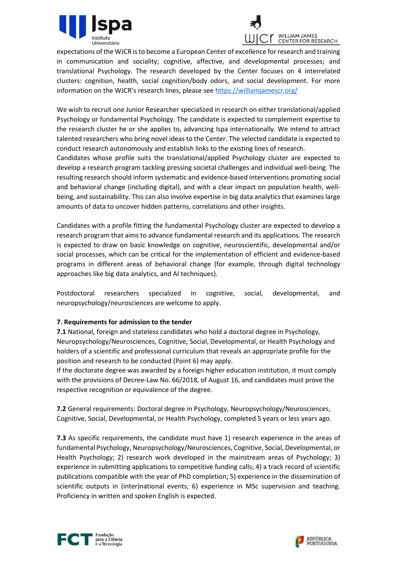



expectations of the WJCR is to become a European Center of excellence for research and training in communication and sociality; cognitive, affective, and developmental processes; and translational Psychology. The research developed by the Center focuses on 4 interrelated clusters: cognition, health, social cognition/body odors, and social development. For more information on the WJCR's research lines, please see https://williamjamescr.org/

We wish to recruit one Junior Researcher specialized in research on either translational/applied Psychology or fundamental Psychology. The candidate is expected to complement expertise to the research cluster he or she applies to, advancing Ispa internationally. We intend to attract talented researchers who bring novel ideas to the Center. The selected candidate is expected to conduct research autonomously and establish links to the existing lines of research.

Candidates whose profile suits the translational/applied Psychology cluster are expected to develop a research program tackling pressing societal challenges and individual well-being. The resulting research should inform systematic and evidence-based interventions promoting social and behavioral change (including digital), and with a clear impact on population health, wellbeing, and sustainability. This can also involve expertise in big data analytics that examines large amounts of data to uncover hidden patterns, correlations and other insights.

Candidates with a profile fitting the fundamental Psychology cluster are expected to develop a research program that aims to advance fundamental research and its applications. The research is expected to draw on basic knowledge on cognitive, neuroscientific, developmental and/or social processes, which can be critical for the implementation of efficient and evidence-based programs in different areas of behavioral change (for example, through digital technology approaches like big data analytics, and AI techniques).

Postdoctoral researchers specialized in cognitive, social, developmental, and neuropsychology/neurosciences are welcome to apply.

# 7. Requirements for admission to the tender

7.1 National, foreign and stateless candidates who hold a doctoral degree in Psychology, Neuropsychology/Neurosciences, Cognitive, Social, Developmental, or Health Psychology and holders of a scientific and professional curriculum that reveals an appropriate profile for the position and research to be conducted (Point 6) may apply.

If the doctorate degree was awarded by a foreign higher education institution, it must comply with the provisions of Decree-Law No. 66/2018, of August 16, and candidates must prove the respective recognition or equivalence of the degree.

7.2 General requirements: Doctoral degree in Psychology, Neuropsychology/Neurosciences, Cognitive, Social, Developmental, or Health Psychology, completed 5 years or less years ago.

7.3 As specific requirements, the candidate must have 1) research experience in the areas of fundamental Psychology, Neuropsychology/Neurosciences, Cognitive, Social, Developmental, or Health Psychology; 2) research work developed in the mainstream areas of Psychology; 3) experience in submitting applications to competitive funding calls; 4) a track record of scientific publications compatible with the year of PhD completion; 5) experience in the dissemination of scientific outputs in (inter)national events; 6) experience in MSc supervision and teaching. Proficiency in written and spoken English is expected.



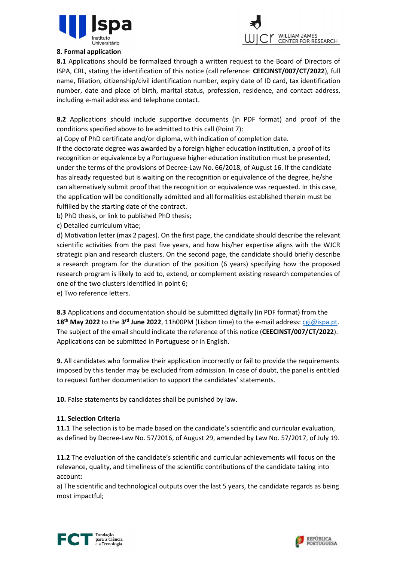



### 8. Formal application

8.1 Applications should be formalized through a written request to the Board of Directors of ISPA, CRL, stating the identification of this notice (call reference: CEECINST/007/CT/2022), full name, filiation, citizenship/civil identification number, expiry date of ID card, tax identification number, date and place of birth, marital status, profession, residence, and contact address, including e-mail address and telephone contact.

8.2 Applications should include supportive documents (in PDF format) and proof of the conditions specified above to be admitted to this call (Point 7):

a) Copy of PhD certificate and/or diploma, with indication of completion date.

If the doctorate degree was awarded by a foreign higher education institution, a proof of its recognition or equivalence by a Portuguese higher education institution must be presented, under the terms of the provisions of Decree-Law No. 66/2018, of August 16. If the candidate has already requested but is waiting on the recognition or equivalence of the degree, he/she can alternatively submit proof that the recognition or equivalence was requested. In this case, the application will be conditionally admitted and all formalities established therein must be fulfilled by the starting date of the contract.

b) PhD thesis, or link to published PhD thesis;

c) Detailed curriculum vitae;

d) Motivation letter (max 2 pages). On the first page, the candidate should describe the relevant scientific activities from the past five years, and how his/her expertise aligns with the WJCR strategic plan and research clusters. On the second page, the candidate should briefly describe a research program for the duration of the position (6 years) specifying how the proposed research program is likely to add to, extend, or complement existing research competencies of one of the two clusters identified in point 6;

e) Two reference letters.

8.3 Applications and documentation should be submitted digitally (in PDF format) from the 18<sup>th</sup> May 2022 to the 3<sup>rd</sup> June 2022, 11h00PM (Lisbon time) to the e-mail address: cgi@ispa.pt. The subject of the email should indicate the reference of this notice (CEECINST/007/CT/2022). Applications can be submitted in Portuguese or in English.

9. All candidates who formalize their application incorrectly or fail to provide the requirements imposed by this tender may be excluded from admission. In case of doubt, the panel is entitled to request further documentation to support the candidates' statements.

10. False statements by candidates shall be punished by law.

# 11. Selection Criteria

11.1 The selection is to be made based on the candidate's scientific and curricular evaluation. as defined by Decree-Law No. 57/2016, of August 29, amended by Law No. 57/2017, of July 19.

11.2 The evaluation of the candidate's scientific and curricular achievements will focus on the relevance, quality, and timeliness of the scientific contributions of the candidate taking into account:

a) The scientific and technological outputs over the last 5 years, the candidate regards as being most impactful;



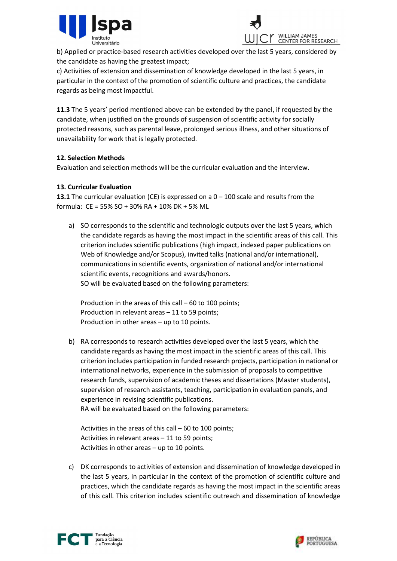



b) Applied or practice-based research activities developed over the last 5 years, considered by the candidate as having the greatest impact;

c) Activities of extension and dissemination of knowledge developed in the last 5 years, in particular in the context of the promotion of scientific culture and practices, the candidate regards as being most impactful.

11.3 The 5 years' period mentioned above can be extended by the panel, if requested by the candidate, when justified on the grounds of suspension of scientific activity for socially protected reasons, such as parental leave, prolonged serious illness, and other situations of unavailability for work that is legally protected.

# 12. Selection Methods

Evaluation and selection methods will be the curricular evaluation and the interview.

# 13. Curricular Evaluation

**13.1** The curricular evaluation (CE) is expressed on a  $0 - 100$  scale and results from the formula: CE = 55% SO + 30% RA + 10% DK + 5% ML

a) SO corresponds to the scientific and technologic outputs over the last 5 years, which the candidate regards as having the most impact in the scientific areas of this call. This criterion includes scientific publications (high impact, indexed paper publications on Web of Knowledge and/or Scopus), invited talks (national and/or international), communications in scientific events, organization of national and/or international scientific events, recognitions and awards/honors. SO will be evaluated based on the following parameters:

Production in the areas of this call – 60 to 100 points; Production in relevant areas – 11 to 59 points; Production in other areas – up to 10 points.

b) RA corresponds to research activities developed over the last 5 years, which the candidate regards as having the most impact in the scientific areas of this call. This criterion includes participation in funded research projects, participation in national or international networks, experience in the submission of proposals to competitive research funds, supervision of academic theses and dissertations (Master students), supervision of research assistants, teaching, participation in evaluation panels, and experience in revising scientific publications.

RA will be evaluated based on the following parameters:

Activities in the areas of this call – 60 to 100 points; Activities in relevant areas – 11 to 59 points; Activities in other areas – up to 10 points.

c) DK corresponds to activities of extension and dissemination of knowledge developed in the last 5 years, in particular in the context of the promotion of scientific culture and practices, which the candidate regards as having the most impact in the scientific areas of this call. This criterion includes scientific outreach and dissemination of knowledge



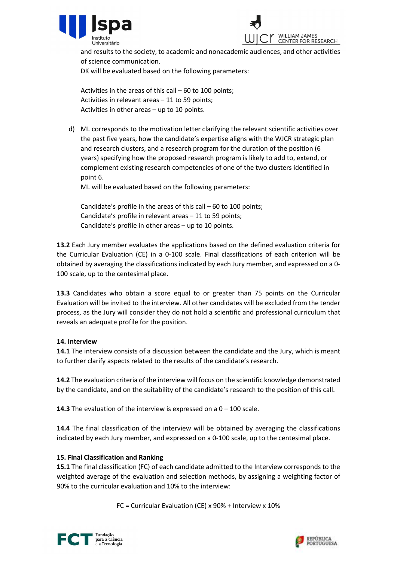



and results to the society, to academic and nonacademic audiences, and other activities of science communication.

DK will be evaluated based on the following parameters:

Activities in the areas of this call – 60 to 100 points; Activities in relevant areas – 11 to 59 points; Activities in other areas – up to 10 points.

d) ML corresponds to the motivation letter clarifying the relevant scientific activities over the past five years, how the candidate's expertise aligns with the WJCR strategic plan and research clusters, and a research program for the duration of the position (6 years) specifying how the proposed research program is likely to add to, extend, or complement existing research competencies of one of the two clusters identified in point 6.

ML will be evaluated based on the following parameters:

Candidate's profile in the areas of this call – 60 to 100 points; Candidate's profile in relevant areas – 11 to 59 points; Candidate's profile in other areas – up to 10 points.

13.2 Each Jury member evaluates the applications based on the defined evaluation criteria for the Curricular Evaluation (CE) in a 0-100 scale. Final classifications of each criterion will be obtained by averaging the classifications indicated by each Jury member, and expressed on a 0- 100 scale, up to the centesimal place.

13.3 Candidates who obtain a score equal to or greater than 75 points on the Curricular Evaluation will be invited to the interview. All other candidates will be excluded from the tender process, as the Jury will consider they do not hold a scientific and professional curriculum that reveals an adequate profile for the position.

### 14. Interview

**14.1** The interview consists of a discussion between the candidate and the Jury, which is meant to further clarify aspects related to the results of the candidate's research.

**14.2** The evaluation criteria of the interview will focus on the scientific knowledge demonstrated by the candidate, and on the suitability of the candidate's research to the position of this call.

**14.3** The evaluation of the interview is expressed on a  $0 - 100$  scale.

14.4 The final classification of the interview will be obtained by averaging the classifications indicated by each Jury member, and expressed on a 0-100 scale, up to the centesimal place.

# 15. Final Classification and Ranking

15.1 The final classification (FC) of each candidate admitted to the Interview corresponds to the weighted average of the evaluation and selection methods, by assigning a weighting factor of 90% to the curricular evaluation and 10% to the interview:

FC = Curricular Evaluation (CE) x 90% + Interview x 10%



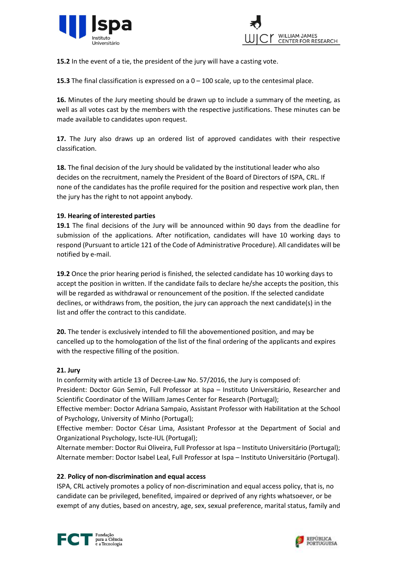



15.2 In the event of a tie, the president of the jury will have a casting vote.

**15.3** The final classification is expressed on a  $0 - 100$  scale, up to the centesimal place.

16. Minutes of the Jury meeting should be drawn up to include a summary of the meeting, as well as all votes cast by the members with the respective justifications. These minutes can be made available to candidates upon request.

17. The Jury also draws up an ordered list of approved candidates with their respective classification.

18. The final decision of the Jury should be validated by the institutional leader who also decides on the recruitment, namely the President of the Board of Directors of ISPA, CRL. If none of the candidates has the profile required for the position and respective work plan, then the jury has the right to not appoint anybody.

### 19. Hearing of interested parties

19.1 The final decisions of the Jury will be announced within 90 days from the deadline for submission of the applications. After notification, candidates will have 10 working days to respond (Pursuant to article 121 of the Code of Administrative Procedure). All candidates will be notified by e-mail.

19.2 Once the prior hearing period is finished, the selected candidate has 10 working days to accept the position in written. If the candidate fails to declare he/she accepts the position, this will be regarded as withdrawal or renouncement of the position. If the selected candidate declines, or withdraws from, the position, the jury can approach the next candidate(s) in the list and offer the contract to this candidate.

20. The tender is exclusively intended to fill the abovementioned position, and may be cancelled up to the homologation of the list of the final ordering of the applicants and expires with the respective filling of the position.

### 21. Jury

In conformity with article 13 of Decree-Law No. 57/2016, the Jury is composed of: President: Doctor Gün Semin, Full Professor at Ispa – Instituto Universitário, Researcher and Scientific Coordinator of the William James Center for Research (Portugal);

Effective member: Doctor Adriana Sampaio, Assistant Professor with Habilitation at the School of Psychology, University of Minho (Portugal);

Effective member: Doctor César Lima, Assistant Professor at the Department of Social and Organizational Psychology, Iscte-IUL (Portugal);

Alternate member: Doctor Rui Oliveira, Full Professor at Ispa – Instituto Universitário (Portugal); Alternate member: Doctor Isabel Leal, Full Professor at Ispa – Instituto Universitário (Portugal).

### 22. Policy of non-discrimination and equal access

ISPA, CRL actively promotes a policy of non-discrimination and equal access policy, that is, no candidate can be privileged, benefited, impaired or deprived of any rights whatsoever, or be exempt of any duties, based on ancestry, age, sex, sexual preference, marital status, family and